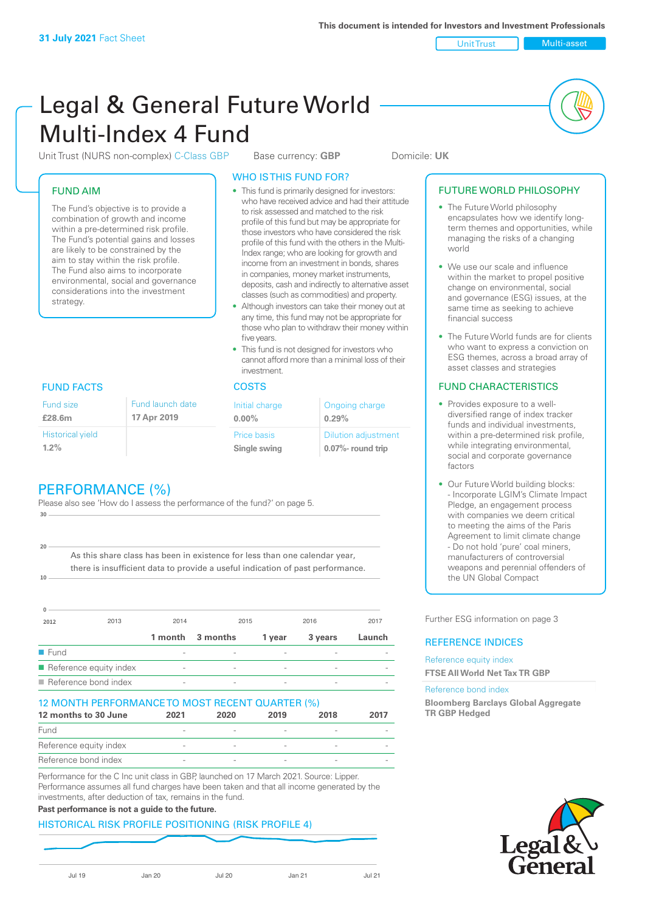Unit Trust Multi-asset

# Legal & General Future World Multi-Index 4 Fund

Unit Trust (NURS non-complex) C-Class GBP Base currency: **GBP** Domicile: UK

## FUND AIM

The Fund's objective is to provide a combination of growth and income within a pre-determined risk profile. The Fund's potential gains and losses are likely to be constrained by the aim to stay within the risk profile. The Fund also aims to incorporate environmental, social and governance considerations into the investment strategy.

## WHO IS THIS FUND FOR?

- This fund is primarily designed for investors: who have received advice and had their attitude to risk assessed and matched to the risk profile of this fund but may be appropriate for those investors who have considered the risk profile of this fund with the others in the Multi-Index range; who are looking for growth and income from an investment in bonds, shares in companies, money market instruments, deposits, cash and indirectly to alternative asset classes (such as commodities) and property.
- Although investors can take their money out at any time, this fund may not be appropriate for those who plan to withdraw their money within five years.
- This fund is not designed for investors who cannot afford more than a minimal loss of their investment.

| Fund launch date | Initial charge              | Ongoing charge                                      |  |
|------------------|-----------------------------|-----------------------------------------------------|--|
| 17 Apr 2019      | $0.00\%$                    | 0.29%                                               |  |
|                  | Price basis<br>Single swing | <b>Dilution adjustment</b><br>$0.07\%$ - round trip |  |

## FUND FACTS COSTS

Historical yield **1.2%**

Fund size **£28.6m**

**10**

**20**

## PERFORMANCE (%)

Please also see 'How do I assess the performance of the fund?' on page 5. **30**

As this share class has been in existence for less than one calendar year, there is insufficient data to provide a useful indication of past performance.

| <sup>0</sup>                        |                        |                          |          |                          |         |        |
|-------------------------------------|------------------------|--------------------------|----------|--------------------------|---------|--------|
| 2012                                | 2013                   | 2014                     |          | 2015                     | 2016    | 2017   |
|                                     |                        | 1 month                  | 3 months | 1 year                   | 3 years | Launch |
| $\blacksquare$ Fund                 |                        |                          |          |                          |         |        |
|                                     | Reference equity index | $\overline{\phantom{a}}$ |          | $\qquad \qquad$          |         |        |
| $\blacksquare$ Reference bond index |                        | $\overline{\phantom{a}}$ |          | $\overline{\phantom{0}}$ |         |        |

### 12 MONTH PERFORMANCE TO MOST RECENT QUARTER (%)

| 12 months to 30 June   | 2021   | 2020 | 2019 | 2018 | 2017 |
|------------------------|--------|------|------|------|------|
| Fund                   |        |      |      |      |      |
| Reference equity index | $\sim$ |      |      |      |      |
| Reference bond index   |        |      |      |      |      |

Performance for the C Inc unit class in GBP, launched on 17 March 2021. Source: Lipper. Performance assumes all fund charges have been taken and that all income generated by the investments, after deduction of tax, remains in the fund.

## **Past performance is not a guide to the future.**

## HISTORICAL RISK PROFILE POSITIONING (RISK PROFILE 4)

|--|--|--|

## FUTURE WORLD PHILOSOPHY

- The Future World philosophy encapsulates how we identify longterm themes and opportunities, while managing the risks of a changing world
- We use our scale and influence within the market to propel positive change on environmental, social and governance (ESG) issues, at the same time as seeking to achieve financial success
- The Future World funds are for clients who want to express a conviction on ESG themes, across a broad array of asset classes and strategies

## FUND CHARACTERISTICS

- Provides exposure to a welldiversified range of index tracker funds and individual investments, within a pre-determined risk profile while integrating environmental, social and corporate governance factors
- Our Future World building blocks: - Incorporate LGIM's Climate Impact Pledge, an engagement process with companies we deem critical to meeting the aims of the Paris Agreement to limit climate change - Do not hold 'pure' coal miners, manufacturers of controversial weapons and perennial offenders of the UN Global Compact

Further ESG information on page 3

## REFERENCE INDICES

#### Reference equity index **FTSE All World Net Tax TR GBP**

#### Reference bond index

**Bloomberg Barclays Global Aggregate TR GBP Hedged**

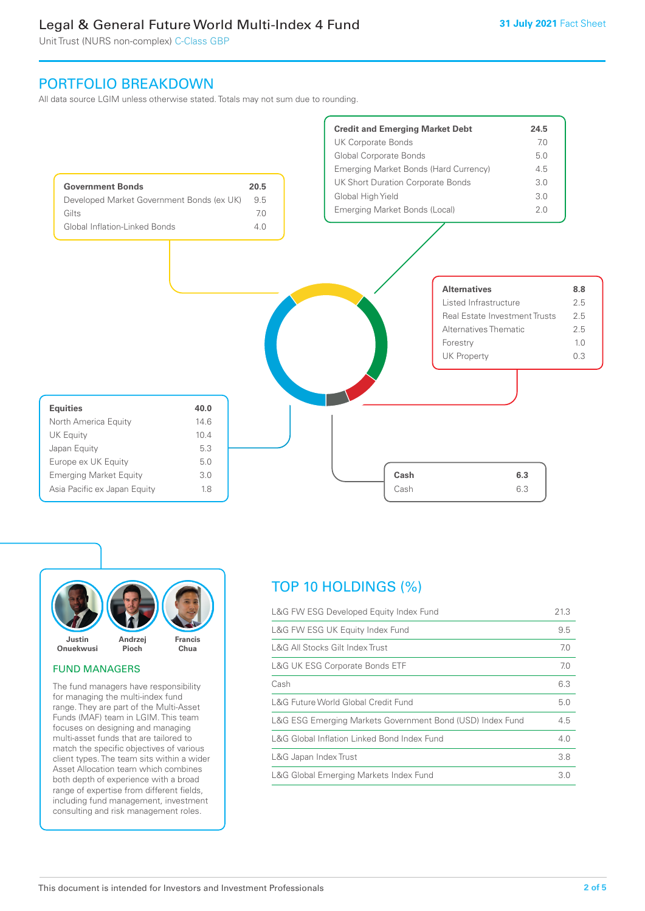Unit Trust (NURS non-complex) C-Class GBP

## PORTFOLIO BREAKDOWN

All data source LGIM unless otherwise stated. Totals may not sum due to rounding.





## FUND MANAGERS

The fund managers have responsibility for managing the multi-index fund range. They are part of the Multi-Asset Funds (MAF) team in LGIM. This team focuses on designing and managing multi-asset funds that are tailored to match the specific objectives of various client types. The team sits within a wider Asset Allocation team which combines both depth of experience with a broad range of expertise from different fields, including fund management, investment consulting and risk management roles.

## TOP 10 HOLDINGS (%)

| L&G FW ESG Developed Equity Index Fund                    | 21.3 |
|-----------------------------------------------------------|------|
| L&G FW ESG UK Equity Index Fund                           | 9.5  |
| L&G All Stocks Gilt Index Trust                           | 7.0  |
| <b>L&amp;G UK ESG Corporate Bonds ETF</b>                 | 7.0  |
| Cash                                                      | 6.3  |
| L&G Future World Global Credit Fund                       | 5.0  |
| L&G ESG Emerging Markets Government Bond (USD) Index Fund | 4.5  |
| L&G Global Inflation Linked Bond Index Fund               | 4.0  |
| L&G Japan Index Trust                                     | 3.8  |
| L&G Global Emerging Markets Index Fund                    | 3.0  |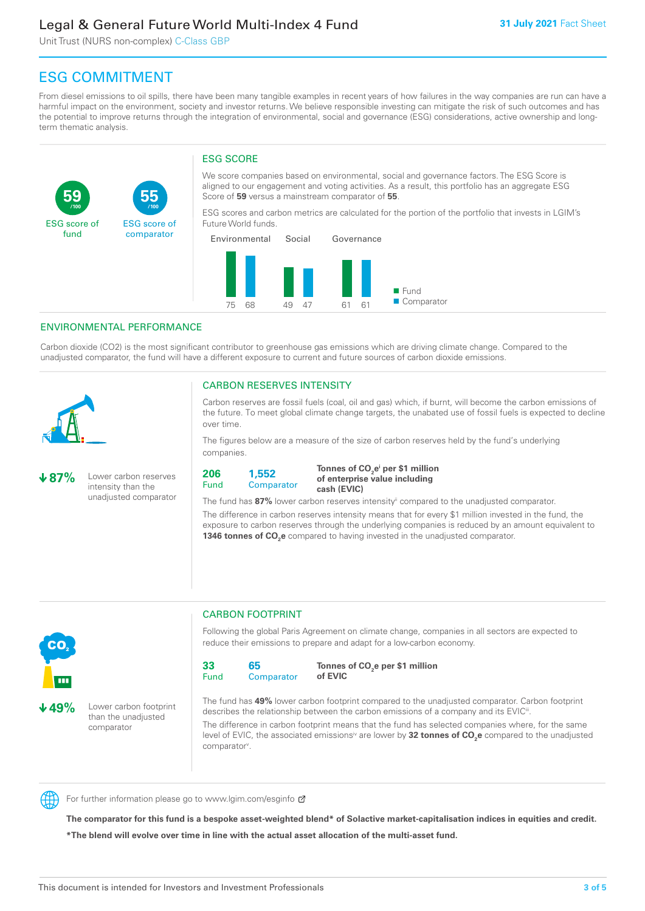Unit Trust (NURS non-complex) C-Class GBP

**55**

ESG score of comparator

## ESG COMMITMENT

From diesel emissions to oil spills, there have been many tangible examples in recent years of how failures in the way companies are run can have a harmful impact on the environment, society and investor returns. We believe responsible investing can mitigate the risk of such outcomes and has the potential to improve returns through the integration of environmental, social and governance (ESG) considerations, active ownership and longterm thematic analysis.

## ESG SCORE

We score companies based on environmental, social and governance factors. The ESG Score is aligned to our engagement and voting activities. As a result, this portfolio has an aggregate ESG Score of **59** versus a mainstream comparator of **55**.

ESG scores and carbon metrics are calculated for the portion of the portfolio that invests in LGIM's Future World funds.



## ENVIRONMENTAL PERFORMANCE

**/100 /100**

Carbon dioxide (CO2) is the most significant contributor to greenhouse gas emissions which are driving climate change. Compared to the unadjusted comparator, the fund will have a different exposure to current and future sources of carbon dioxide emissions.



**59**

ESG score of fund

### CARBON RESERVES INTENSITY

Carbon reserves are fossil fuels (coal, oil and gas) which, if burnt, will become the carbon emissions of the future. To meet global climate change targets, the unabated use of fossil fuels is expected to decline over time.

The figures below are a measure of the size of carbon reserves held by the fund's underlying companies.

**87%** Lower carbon reserves intensity than the unadjusted comparator



Tonnes of CO<sub>2</sub>e<sup>i</sup> per \$1 million **of enterprise value including cash (EVIC)**

The fund has 87% lower carbon reserves intensity<sup>ii</sup> compared to the unadjusted comparator.

The difference in carbon reserves intensity means that for every \$1 million invested in the fund, the exposure to carbon reserves through the underlying companies is reduced by an amount equivalent to **1346 tonnes of CO<sub>2</sub>e** compared to having invested in the unadjusted comparator.



**49%** Lower carbon footprint than the unadjusted comparator

CARBON FOOTPRINT

Following the global Paris Agreement on climate change, companies in all sectors are expected to reduce their emissions to prepare and adapt for a low-carbon economy.



**Tonnes of CO2 e per \$1 million of EVIC**

The fund has **49%** lower carbon footprint compared to the unadjusted comparator. Carbon footprint describes the relationship between the carbon emissions of a company and its EVIC<sup>ii</sup>.

The difference in carbon footprint means that the fund has selected companies where, for the same level of EVIC, the associated emissions<sup>iv</sup> are lower by **32 tonnes of CO<sub>2</sub>e** compared to the unadjusted comparator<sup>v</sup>.



For further information please go to www.lgim.com/esginfo Ø

**The comparator for this fund is a bespoke asset-weighted blend\* of Solactive market-capitalisation indices in equities and credit. \*The blend will evolve over time in line with the actual asset allocation of the multi-asset fund.**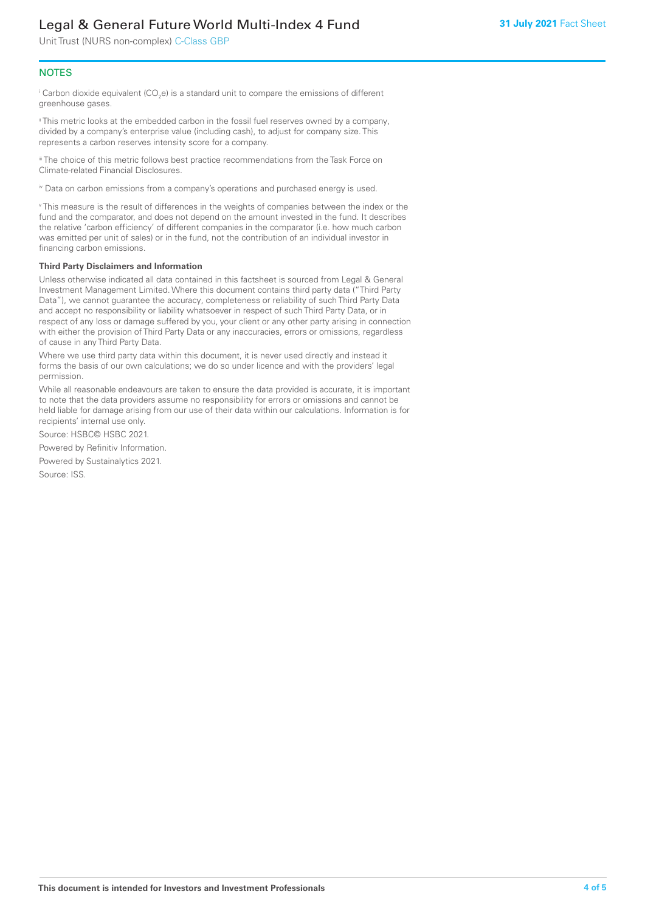Unit Trust (NURS non-complex) C-Class GBP

## **NOTES**

 $^\mathrm{i}$  Carbon dioxide equivalent (CO<sub>2</sub>e) is a standard unit to compare the emissions of different greenhouse gases.

ii This metric looks at the embedded carbon in the fossil fuel reserves owned by a company, divided by a company's enterprise value (including cash), to adjust for company size. This represents a carbon reserves intensity score for a company.

"The choice of this metric follows best practice recommendations from the Task Force on Climate-related Financial Disclosures.

iv Data on carbon emissions from a company's operations and purchased energy is used.

v This measure is the result of differences in the weights of companies between the index or the fund and the comparator, and does not depend on the amount invested in the fund. It describes the relative 'carbon efficiency' of different companies in the comparator (i.e. how much carbon was emitted per unit of sales) or in the fund, not the contribution of an individual investor in financing carbon emissions.

#### **Third Party Disclaimers and Information**

Unless otherwise indicated all data contained in this factsheet is sourced from Legal & General Investment Management Limited. Where this document contains third party data ("Third Party Data"), we cannot guarantee the accuracy, completeness or reliability of such Third Party Data and accept no responsibility or liability whatsoever in respect of such Third Party Data, or in respect of any loss or damage suffered by you, your client or any other party arising in connection with either the provision of Third Party Data or any inaccuracies, errors or omissions, regardless of cause in any Third Party Data.

Where we use third party data within this document, it is never used directly and instead it forms the basis of our own calculations; we do so under licence and with the providers' legal permission.

While all reasonable endeavours are taken to ensure the data provided is accurate, it is important to note that the data providers assume no responsibility for errors or omissions and cannot be held liable for damage arising from our use of their data within our calculations. Information is for recipients' internal use only.

Source: HSBC© HSBC 2021.

Powered by Refinitiv Information.

Powered by Sustainalytics 2021.

Source: ISS.